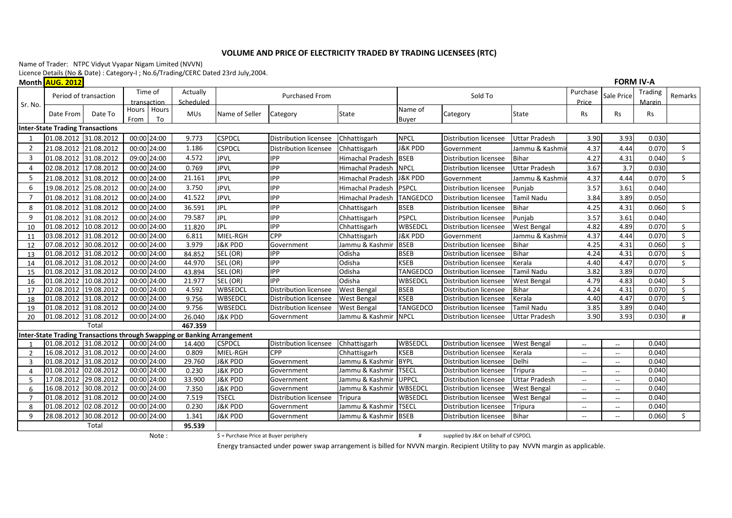## **VOLUME AND PRICE OF ELECTRICITY TRADED BY TRADING LICENSEES (RTC)**

Name of Trader: NTPC Vidyut Vyapar Nigam Limited (NVVN)

Licence <u>Details (No & </u>Date) : Category-I ; No.6/Trading/CERC Dated 23rd July,2004.

Month <mark>AUG. 2012</mark>

|         | <u>INDINI <mark>INDU: LUIL</mark></u> |            |      |                        |                                                                          |                                         |                              |                         |                    |                                     |                      |                          |                          |                   |                          |
|---------|---------------------------------------|------------|------|------------------------|--------------------------------------------------------------------------|-----------------------------------------|------------------------------|-------------------------|--------------------|-------------------------------------|----------------------|--------------------------|--------------------------|-------------------|--------------------------|
|         | Period of transaction                 |            |      | Time of<br>transaction | Actually<br>Scheduled                                                    |                                         | <b>Purchased From</b>        |                         |                    | Sold To                             |                      | Purchase<br>Price        | Sale Price               | Trading<br>Margin | Remarks                  |
| Sr. No. | Date From                             | Date To    | From | Hours Hours<br>To      | <b>MUs</b>                                                               | Name of Seller                          | Category                     | <b>State</b>            | Name of<br>Buver   | Category                            | <b>State</b>         | <b>Rs</b>                | <b>Rs</b>                | Rs                |                          |
|         | Inter-State Trading Transactions      |            |      |                        |                                                                          |                                         |                              |                         |                    |                                     |                      |                          |                          |                   |                          |
|         | 01.08.2012 31.08.2012                 |            |      | 00:00 24:00            | 9.773                                                                    | <b>CSPDCL</b>                           | Distribution licensee        | Chhattisgarh            | <b>NPCL</b>        | Distribution licensee               | <b>Uttar Pradesh</b> | 3.90                     | 3.93                     | 0.030             |                          |
|         | 21.08.2012 21.08.2012                 |            |      | 00:00 24:00            | 1.186                                                                    | <b>CSPDCL</b>                           | <b>Distribution licensee</b> | Chhattisgarh            | <b>J&amp;K PDD</b> | Government                          | Jammu & Kashmi       | 4.37                     | 4.44                     | 0.070             | \$                       |
| 3       | 01.08.2012 31.08.2012                 |            |      | 09:00 24:00            | 4.572                                                                    | <b>JPVL</b>                             | <b>IPP</b>                   | Himachal Pradesh        | <b>BSEB</b>        | <b>Distribution licensee</b>        | <b>Bihar</b>         | 4.27                     | 4.31                     | 0.040             | \$                       |
| 4       | 02.08.2012 17.08.2012                 |            |      | 00:00 24:00            | 0.769                                                                    | <b>JPVL</b>                             | <b>IPP</b>                   | Himachal Pradesh        | <b>NPCL</b>        | Distribution licensee               | <b>Uttar Pradesh</b> | 3.67                     | 3.7                      | 0.030             |                          |
| -5      | 21.08.2012 31.08.2012                 |            |      | 00:00 24:00            | 21.161                                                                   | <b>JPVL</b>                             | <b>IPP</b>                   | <b>Himachal Pradesh</b> | <b>J&amp;K PDD</b> | Government                          | Jammu & Kashmi       | 4.37                     | 4.44                     | 0.070             | $\mathsf{S}$             |
| 6       | 19.08.2012 25.08.2012                 |            |      | 00:00 24:00            | 3.750                                                                    | <b>JPVL</b>                             | <b>IPP</b>                   | <b>Himachal Pradesh</b> | PSPCL              | <b>Distribution licensee</b>        | Punjab               | 3.57                     | 3.61                     | 0.040             |                          |
|         | 01.08.2012 31.08.2012                 |            |      | 00:00 24:00            | 41.522                                                                   | <b>JPVL</b>                             | <b>IPP</b>                   | <b>Himachal Pradesh</b> | TANGEDCO           | Distribution licensee               | <b>Tamil Nadu</b>    | 3.84                     | 3.89                     | 0.050             |                          |
| -8      | 01.08.2012 31.08.2012                 |            |      | 00:00 24:00            | 36.591                                                                   | JPL                                     | <b>IPP</b>                   | Chhattisgarh            | <b>BSEB</b>        | <b>Distribution licensee</b>        | <b>Bihar</b>         | 4.25                     | 4.31                     | 0.060             | \$                       |
| q       | 01.08.2012 31.08.2012                 |            |      | 00:00 24:00            | 79.587                                                                   | JPL                                     | <b>IPP</b>                   | Chhattisgarh            | <b>PSPCL</b>       | <b>Distribution licensee</b>        | Punjab               | 3.57                     | 3.61                     | 0.040             |                          |
| 10      | 01.08.2012 10.08.2012                 |            |      | 00:00 24:00            | 11.820                                                                   | <b>JPL</b>                              | <b>IPP</b>                   | Chhattisgarh            | WBSEDCL            | <b>Distribution licensee</b>        | <b>West Bengal</b>   | 4.82                     | 4.89                     | 0.070             | \$                       |
| 11      | 03.08.2012 31.08.2012                 |            |      | 00:00 24:00            | 6.811                                                                    | MIEL-RGH                                | CPP                          | Chhattisgarh            | <b>J&amp;K PDD</b> | Government                          | Jammu & Kashmi       | 4.37                     | 4.44                     | 0.070             | Ŝ.                       |
| 12      | 07.08.2012 30.08.2012                 |            |      | 00:00 24:00            | 3.979                                                                    | <b>J&amp;K PDD</b>                      | Government                   | Jammu & Kashmir         | <b>BSEB</b>        | <b>Distribution licensee</b>        | <b>Bihar</b>         | 4.25                     | 4.31                     | 0.060             | $\zeta$                  |
| 13      | 01.08.2012 31.08.2012                 |            |      | 00:00 24:00            | 84.852                                                                   | SEL (OR)                                | <b>IPP</b>                   | Odisha                  | <b>BSEB</b>        | <b>Distribution licensee</b>        | <b>Bihar</b>         | 4.24                     | 4.31                     | 0.070             | $\zeta$                  |
| 14      | 01.08.2012 31.08.2012                 |            |      | 00:00 24:00            | 44.970                                                                   | SEL (OR)                                | <b>IPP</b>                   | Odisha                  | <b>KSEB</b>        | <b>Distribution licensee</b>        | Kerala               | 4.40                     | 4.47                     | 0.070             | $\overline{\mathcal{S}}$ |
| 15      | 01.08.2012 31.08.2012                 |            |      | 00:00 24:00            | 43.894                                                                   | SEL (OR)                                | <b>IPP</b>                   | Odisha                  | <b>TANGEDCO</b>    | <b>Distribution licensee</b>        | Tamil Nadu           | 3.82                     | 3.89                     | 0.070             |                          |
| 16      | 01.08.2012 10.08.2012                 |            |      | 00:00 24:00            | 21.977                                                                   | SEL (OR)                                | <b>IPP</b>                   | Odisha                  | WBSEDCL            | <b>Distribution licensee</b>        | <b>West Bengal</b>   | 4.79                     | 4.83                     | 0.040             | $\ddot{\mathsf{S}}$      |
| 17      | 02.08.2012 19.08.2012                 |            |      | 00:00 24:00            | 4.592                                                                    | WBSEDCL                                 | Distribution licensee        | <b>West Bengal</b>      | <b>BSEB</b>        | <b>Distribution licensee</b>        | Bihar                | 4.24                     | 4.31                     | 0.070             | \$                       |
| 18      | 01.08.2012 31.08.2012                 |            |      | 00:00 24:00            | 9.756                                                                    | WBSEDCL                                 | Distribution licensee        | <b>West Bengal</b>      | <b>KSEB</b>        | <b>Distribution licensee</b>        | Kerala               | 4.40                     | 4.47                     | 0.070             | $\zeta$                  |
| 19      | 01.08.2012 31.08.2012                 |            |      | 00:00 24:00            | 9.756                                                                    | WBSEDCL                                 | Distribution licensee        | <b>West Bengal</b>      | TANGEDCO           | <b>Distribution licensee</b>        | Tamil Nadu           | 3.85                     | 3.89                     | 0.040             |                          |
| 20      | 01.08.2012 31.08.2012                 |            |      | 00:00 24:00            | 26.040                                                                   | <b>J&amp;K PDD</b>                      | Government                   | Jammu & Kashmir         | NPCL               | <b>Distribution licensee</b>        | <b>Uttar Pradesh</b> | 3.90                     | 3.93                     | 0.030             | #                        |
|         |                                       | Total      |      |                        | 467.359                                                                  |                                         |                              |                         |                    |                                     |                      |                          |                          |                   |                          |
|         |                                       |            |      |                        | Inter-State Trading Transactions through Swapping or Banking Arrangement |                                         |                              |                         |                    |                                     |                      |                          |                          |                   |                          |
|         | 01.08.2012 31.08.2012                 |            |      | 00:00 24:00            | 14.400                                                                   | <b>CSPDCL</b>                           | Distribution licensee        | Chhattisgarh            | <b>WBSEDCL</b>     | <b>Distribution licensee</b>        | <b>West Bengal</b>   | $- -$                    |                          | 0.040             |                          |
| - 2     | 16.08.2012 31.08.2012                 |            |      | 00:00 24:00            | 0.809                                                                    | MIEL-RGH                                | CPP                          | Chhattisgarh            | <b>KSEB</b>        | <b>Distribution licensee</b>        | Kerala               | $\overline{\phantom{a}}$ | $\overline{\phantom{a}}$ | 0.040             |                          |
| 3       | 01.08.2012 31.08.2012                 |            |      | 00:00 24:00            | 29.760                                                                   | <b>J&amp;K PDD</b>                      | Government                   | Jammu & Kashmir         | BYPL               | <b>Distribution licensee</b>        | Delhi                | $- -$                    | $-$                      | 0.040             |                          |
|         | 01.08.2012 02.08.2012                 |            |      | 00:00 24:00            | 0.230                                                                    | <b>J&amp;K PDD</b>                      | Government                   | Jammu & Kashmir         | <b>TSECL</b>       | <b>Distribution licensee</b>        | Tripura              | $\overline{\phantom{a}}$ | $\sim$                   | 0.040             |                          |
| 5       | 17.08.2012 29.08.2012                 |            |      | 00:00 24:00            | 33.900                                                                   | <b>J&amp;K PDD</b>                      | Government                   | Jammu & Kashmir         | UPPCL              | <b>Distribution licensee</b>        | <b>Uttar Pradesh</b> | $--$                     | $\hspace{0.05cm} \ldots$ | 0.040             |                          |
| 6       | 16.08.2012 30.08.2012                 |            |      | 00:00 24:00            | 7.350                                                                    | <b>J&amp;K PDD</b>                      | Government                   | Jammu & Kashmir         | WBSEDCL            | Distribution licensee               | <b>West Bengal</b>   | $\overline{\phantom{a}}$ |                          | 0.040             |                          |
| -7      | 01.08.2012 31.08.2012                 |            |      | 00:00 24:00            | 7.519                                                                    | <b>TSECL</b>                            | Distribution licensee        | Tripura                 | WBSEDCL            | Distribution licensee               | <b>West Bengal</b>   | --                       |                          | 0.040             |                          |
| -8      | 01.08.2012                            | 02.08.2012 |      | 00:00 24:00            | 0.230                                                                    | <b>J&amp;K PDD</b>                      | Government                   | Jammu & Kashmir         | <b>TSECL</b>       | Distribution licensee               | Tripura              | $\overline{\phantom{a}}$ | $-$                      | 0.040             |                          |
| q       | 28.08.2012 30.08.2012                 |            |      | 00:00 24:00            | 1.341                                                                    | <b>J&amp;K PDD</b>                      | Government                   | Jammu & Kashmir         | <b>BSEB</b>        | <b>Distribution licensee</b>        | <b>Bihar</b>         | $\overline{\phantom{a}}$ | $\sim$                   | 0.060             | \$                       |
|         |                                       | Total      |      |                        | 95.539                                                                   |                                         |                              |                         |                    |                                     |                      |                          |                          |                   |                          |
|         |                                       |            |      | Note:                  |                                                                          | $$ =$ Purchase Price at Buyer periphery |                              |                         | #                  | supplied by J&K on behalf of CSPDCL |                      |                          |                          |                   |                          |

**FORM IV-A**

Energy transacted under power swap arrangement is billed for NVVN margin. Recipient Utility to pay NVVN margin as applicable.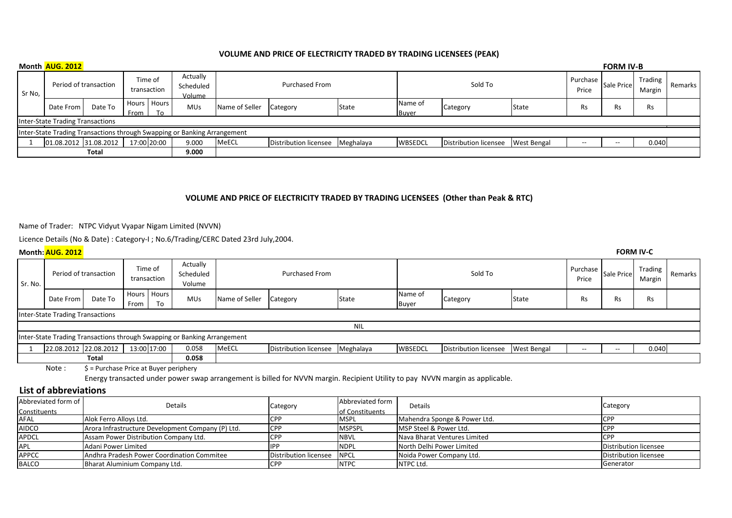## **VOLUME AND PRICE OF ELECTRICITY TRADED BY TRADING LICENSEES (PEAK)**

|                                                                          | Month AUG. 2012                  |         |                        |                       |                                 |                       |                       |           |                         |                                     |                   |            | <b>FORM IV-B</b>         |         |  |
|--------------------------------------------------------------------------|----------------------------------|---------|------------------------|-----------------------|---------------------------------|-----------------------|-----------------------|-----------|-------------------------|-------------------------------------|-------------------|------------|--------------------------|---------|--|
| Sr No,                                                                   | Period of transaction            |         | Time of<br>transaction |                       | Actually<br>Scheduled<br>Volume | <b>Purchased From</b> |                       | Sold To   |                         |                                     | Purchase<br>Price | Sale Price | <b>Trading</b><br>Margin | Remarks |  |
|                                                                          | Date From                        | Date To | From I                 | Hours   Hours  <br>To | <b>MUs</b>                      | Name of Seller        | Category              | State     | Name of<br><b>Buver</b> | Category                            | <b>State</b>      | Rs         | Rs                       | Rs      |  |
|                                                                          | Inter-State Trading Transactions |         |                        |                       |                                 |                       |                       |           |                         |                                     |                   |            |                          |         |  |
| Inter-State Trading Transactions through Swapping or Banking Arrangement |                                  |         |                        |                       |                                 |                       |                       |           |                         |                                     |                   |            |                          |         |  |
|                                                                          | 01.08.2012 31.08.2012            |         |                        | 17:00 20:00           | 9.000                           | MeECL                 | Distribution licensee | Meghalaya | <b>WBSEDCL</b>          | Distribution licensee   West Bengal |                   | $- -$      | $-$                      | 0.040   |  |
| <b>Total</b><br>9.000                                                    |                                  |         |                        |                       |                                 |                       |                       |           |                         |                                     |                   |            |                          |         |  |

## **VOLUME AND PRICE OF ELECTRICITY TRADED BY TRADING LICENSEES (Other than Peak & RTC)**

Name of Trader: NTPC Vidyut Vyapar Nigam Limited (NVVN)

Licence Details (No & Date) : Category-I ; No.6/Trading/CERC Dated 23rd July,2004.

|         | <b>FORM IV-C</b><br>Month: AUG. 2012                                     |         |                        |                       |                                 |                       |                       |           |                  |                       |                    |            |                                                                                                   |           |  |
|---------|--------------------------------------------------------------------------|---------|------------------------|-----------------------|---------------------------------|-----------------------|-----------------------|-----------|------------------|-----------------------|--------------------|------------|---------------------------------------------------------------------------------------------------|-----------|--|
| Sr. No. | Period of transaction                                                    |         | Time of<br>transaction |                       | Actually<br>Scheduled<br>Volume | <b>Purchased From</b> |                       | Sold To   |                  |                       | Purchase<br>Price  | Sale Price | Trading<br>Margin                                                                                 | Remarks   |  |
|         | Date From                                                                | Date To | From                   | Hours   Hours  <br>To | <b>MUs</b>                      | Name of Seller        | Category              | State     | Name of<br>Buyer | Category              | State              | <b>Rs</b>  | Rs                                                                                                | <b>Rs</b> |  |
|         | <b>Inter-State Trading Transactions</b>                                  |         |                        |                       |                                 |                       |                       |           |                  |                       |                    |            |                                                                                                   |           |  |
| NIL     |                                                                          |         |                        |                       |                                 |                       |                       |           |                  |                       |                    |            |                                                                                                   |           |  |
|         | Inter-State Trading Transactions through Swapping or Banking Arrangement |         |                        |                       |                                 |                       |                       |           |                  |                       |                    |            |                                                                                                   |           |  |
|         | 22.08.2012 22.08.2012                                                    |         |                        | 13:00 17:00           | 0.058                           | MeECL                 | Distribution licensee | Meghalaya | <b>WBSEDCL</b>   | Distribution licensee | <b>West Bengal</b> | $- -$      | $\hspace{0.05cm} \hspace{0.02cm} \hspace{0.02cm} \hspace{0.02cm} \hspace{0.02cm} \hspace{0.02cm}$ | 0.040     |  |
|         |                                                                          | Total   |                        |                       | 0.058                           |                       |                       |           |                  |                       |                    |            |                                                                                                   |           |  |

Note :  $\oint$  = Purchase Price at Buyer periphery

Energy transacted under power swap arrangement is billed for NVVN margin. Recipient Utility to pay NVVN margin as applicable.

## **List of abbreviations**

| Abbreviated form of | Details                                           | Category              | Abbreviated form       | <b>Details</b>               | Category              |
|---------------------|---------------------------------------------------|-----------------------|------------------------|------------------------------|-----------------------|
| Constituents        |                                                   |                       | <b>of Constituents</b> |                              |                       |
| AFAL                | Alok Ferro Alloys Ltd.                            |                       | <b>MSPL</b>            | Mahendra Sponge & Power Ltd. | <b>CPI</b>            |
| <b>AIDCO</b>        | Arora Infrastructure Development Company (P) Ltd. | <b>ICPP</b>           | <b>MSPSPL</b>          | MSP Steel & Power Ltd.       | <b>ICPF</b>           |
| APDCL               | Assam Power Distribution Company Ltd.             |                       | <b>INBVL</b>           | Nava Bharat Ventures Limited | <b>CPI</b>            |
| APL                 | Adani Power Limited                               |                       | <b>INDPL</b>           | North Delhi Power Limited    | Distribution licensee |
| <b>APPCC</b>        | Andhra Pradesh Power Coordination Commitee        | Distribution licensee | <b>INPCL</b>           | Noida Power Company Ltd.     | Distribution licensee |
| <b>BALCO</b>        | Bharat Aluminium Company Ltd.                     | <b>ICPP</b>           | <b>INTPC</b>           | INTPC Ltd.                   | Generator             |